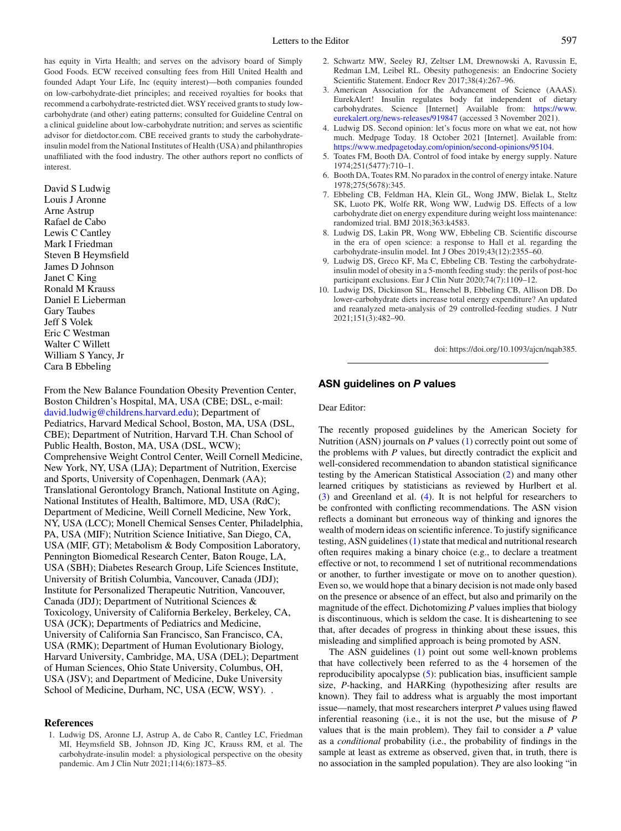has equity in Virta Health; and serves on the advisory board of Simply Good Foods. ECW received consulting fees from Hill United Health and founded Adapt Your Life, Inc (equity interest)—both companies founded on low-carbohydrate-diet principles; and received royalties for books that recommend a carbohydrate-restricted diet. WSY received grants to study lowcarbohydrate (and other) eating patterns; consulted for Guideline Central on a clinical guideline about low-carbohydrate nutrition; and serves as scientific advisor for dietdoctor.com. CBE received grants to study the carbohydrateinsulin model from the National Institutes of Health (USA) and philanthropies unaffiliated with the food industry. The other authors report no conflicts of interest.

David S Ludwig Louis J Aronne Arne Astrup Rafael de Cabo Lewis C Cantley Mark I Friedman Steven B Heymsfield James D Johnson Janet C King Ronald M Krauss Daniel E Lieberman Gary Taubes Jeff S Volek Eric C Westman Walter C Willett William S Yancy, Jr Cara B Ebbeling

From the New Balance Foundation Obesity Prevention Center, Boston Children's Hospital, MA, USA (CBE; DSL, e-mail: [david.ludwig@childrens.harvard.edu\)](mailto:david.ludwig@childrens.harvard.edu); Department of Pediatrics, Harvard Medical School, Boston, MA, USA (DSL, CBE); Department of Nutrition, Harvard T.H. Chan School of Public Health, Boston, MA, USA (DSL, WCW); Comprehensive Weight Control Center, Weill Cornell Medicine, New York, NY, USA (LJA); Department of Nutrition, Exercise and Sports, University of Copenhagen, Denmark (AA); Translational Gerontology Branch, National Institute on Aging, National Institutes of Health, Baltimore, MD, USA (RdC); Department of Medicine, Weill Cornell Medicine, New York, NY, USA (LCC); Monell Chemical Senses Center, Philadelphia, PA, USA (MIF); Nutrition Science Initiative, San Diego, CA, USA (MIF, GT); Metabolism & Body Composition Laboratory, Pennington Biomedical Research Center, Baton Rouge, LA, USA (SBH); Diabetes Research Group, Life Sciences Institute, University of British Columbia, Vancouver, Canada (JDJ); Institute for Personalized Therapeutic Nutrition, Vancouver, Canada (JDJ); Department of Nutritional Sciences & Toxicology, University of California Berkeley, Berkeley, CA, USA (JCK); Departments of Pediatrics and Medicine, University of California San Francisco, San Francisco, CA, USA (RMK); Department of Human Evolutionary Biology, Harvard University, Cambridge, MA, USA (DEL); Department of Human Sciences, Ohio State University, Columbus, OH, USA (JSV); and Department of Medicine, Duke University School of Medicine, Durham, NC, USA (ECW, WSY). .

### **References**

- 2. Schwartz MW, Seeley RJ, Zeltser LM, Drewnowski A, Ravussin E, Redman LM, Leibel RL. Obesity pathogenesis: an Endocrine Society Scientific Statement. Endocr Rev 2017;38(4):267–96.
- 3. American Association for the Advancement of Science (AAAS). EurekAlert! Insulin regulates body fat independent of dietary [carbohydrates. Science \[Internet\] Available from:](https://www.eurekalert.org/news-releases/919847) https://www. eurekalert.org/news-releases/919847 (accessed 3 November 2021).
- 4. Ludwig DS. Second opinion: let's focus more on what we eat, not how much. Medpage Today. 18 October 2021 [Internet]. Available from: [https://www.medpagetoday.com/opinion/second-opinions/95104.](https://www.medpagetoday.com/opinion/second-opinions/95104)
- 5. Toates FM, Booth DA. Control of food intake by energy supply. Nature 1974;251(5477):710–1.
- 6. Booth DA, Toates RM. No paradox in the control of energy intake. Nature 1978;275(5678):345.
- 7. Ebbeling CB, Feldman HA, Klein GL, Wong JMW, Bielak L, Steltz SK, Luoto PK, Wolfe RR, Wong WW, Ludwig DS. Effects of a low carbohydrate diet on energy expenditure during weight loss maintenance: randomized trial. BMJ 2018;363:k4583.
- 8. Ludwig DS, Lakin PR, Wong WW, Ebbeling CB. Scientific discourse in the era of open science: a response to Hall et al. regarding the carbohydrate-insulin model. Int J Obes 2019;43(12):2355–60.
- 9. Ludwig DS, Greco KF, Ma C, Ebbeling CB. Testing the carbohydrateinsulin model of obesity in a 5-month feeding study: the perils of post-hoc participant exclusions. Eur J Clin Nutr 2020;74(7):1109–12.
- 10. Ludwig DS, Dickinson SL, Henschel B, Ebbeling CB, Allison DB. Do lower-carbohydrate diets increase total energy expenditure? An updated and reanalyzed meta-analysis of 29 controlled-feeding studies. J Nutr 2021;151(3):482–90.

doi: https://doi.org/10.1093/ajcn/nqab385.

## **ASN guidelines on** *P* **values**

#### Dear Editor:

The recently proposed guidelines by the American Society for Nutrition (ASN) journals on *P* values (1) correctly point out some of the problems with *P* values, but directly contradict the explicit and well-considered recommendation to abandon statistical significance testing by the American Statistical Association (2) and many other learned critiques by statisticians as reviewed by Hurlbert et al. (3) and Greenland et al. (4). It is not helpful for researchers to be confronted with conflicting recommendations. The ASN vision reflects a dominant but erroneous way of thinking and ignores the wealth of modern ideas on scientific inference. To justify significance testing, ASN guidelines (1) state that medical and nutritional research often requires making a binary choice (e.g., to declare a treatment effective or not, to recommend 1 set of nutritional recommendations or another, to further investigate or move on to another question). Even so, we would hope that a binary decision is not made only based on the presence or absence of an effect, but also and primarily on the magnitude of the effect. Dichotomizing *P* values implies that biology is discontinuous, which is seldom the case. It is disheartening to see that, after decades of progress in thinking about these issues, this misleading and simplified approach is being promoted by ASN.

The ASN guidelines (1) point out some well-known problems that have collectively been referred to as the 4 horsemen of the reproducibility apocalypse (5): publication bias, insufficient sample size, *P*-hacking, and HARKing (hypothesizing after results are known). They fail to address what is arguably the most important issue—namely, that most researchers interpret *P* values using flawed inferential reasoning (i.e., it is not the use, but the misuse of *P* values that is the main problem). They fail to consider a *P* value as a *conditional* probability (i.e., the probability of findings in the sample at least as extreme as observed, given that, in truth, there is no association in the sampled population). They are also looking "in

<sup>1.</sup> Ludwig DS, Aronne LJ, Astrup A, de Cabo R, Cantley LC, Friedman MI, Heymsfield SB, Johnson JD, King JC, Krauss RM, et al. The carbohydrate-insulin model: a physiological perspective on the obesity pandemic. Am J Clin Nutr 2021;114(6):1873–85.